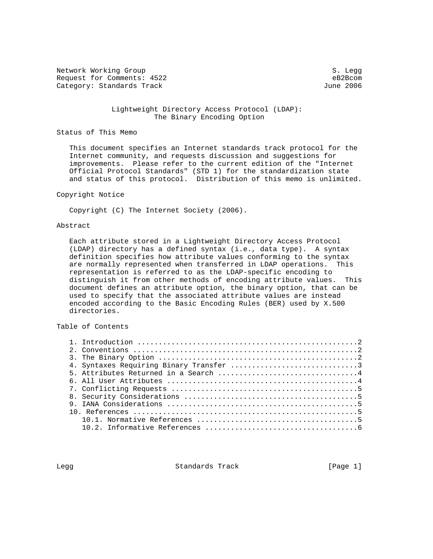Network Working Group S. Legg Request for Comments: 4522<br>
Category: Standards Track<br>
Category: Standards Track Category: Standards Track

### Lightweight Directory Access Protocol (LDAP): The Binary Encoding Option

#### Status of This Memo

 This document specifies an Internet standards track protocol for the Internet community, and requests discussion and suggestions for improvements. Please refer to the current edition of the "Internet Official Protocol Standards" (STD 1) for the standardization state and status of this protocol. Distribution of this memo is unlimited.

## Copyright Notice

Copyright (C) The Internet Society (2006).

### Abstract

 Each attribute stored in a Lightweight Directory Access Protocol (LDAP) directory has a defined syntax (i.e., data type). A syntax definition specifies how attribute values conforming to the syntax are normally represented when transferred in LDAP operations. This representation is referred to as the LDAP-specific encoding to distinguish it from other methods of encoding attribute values. This document defines an attribute option, the binary option, that can be used to specify that the associated attribute values are instead encoded according to the Basic Encoding Rules (BER) used by X.500 directories.

Table of Contents

Legg Standards Track [Page 1]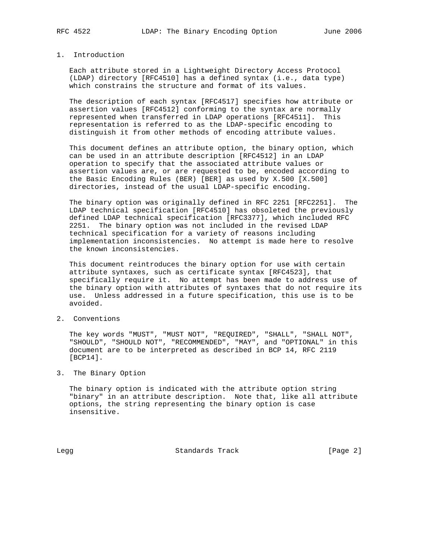## 1. Introduction

 Each attribute stored in a Lightweight Directory Access Protocol (LDAP) directory [RFC4510] has a defined syntax (i.e., data type) which constrains the structure and format of its values.

 The description of each syntax [RFC4517] specifies how attribute or assertion values [RFC4512] conforming to the syntax are normally represented when transferred in LDAP operations [RFC4511]. This representation is referred to as the LDAP-specific encoding to distinguish it from other methods of encoding attribute values.

 This document defines an attribute option, the binary option, which can be used in an attribute description [RFC4512] in an LDAP operation to specify that the associated attribute values or assertion values are, or are requested to be, encoded according to the Basic Encoding Rules (BER) [BER] as used by X.500 [X.500] directories, instead of the usual LDAP-specific encoding.

 The binary option was originally defined in RFC 2251 [RFC2251]. The LDAP technical specification [RFC4510] has obsoleted the previously defined LDAP technical specification [RFC3377], which included RFC 2251. The binary option was not included in the revised LDAP technical specification for a variety of reasons including implementation inconsistencies. No attempt is made here to resolve the known inconsistencies.

 This document reintroduces the binary option for use with certain attribute syntaxes, such as certificate syntax [RFC4523], that specifically require it. No attempt has been made to address use of the binary option with attributes of syntaxes that do not require its use. Unless addressed in a future specification, this use is to be avoided.

2. Conventions

 The key words "MUST", "MUST NOT", "REQUIRED", "SHALL", "SHALL NOT", "SHOULD", "SHOULD NOT", "RECOMMENDED", "MAY", and "OPTIONAL" in this document are to be interpreted as described in BCP 14, RFC 2119 [BCP14].

3. The Binary Option

 The binary option is indicated with the attribute option string "binary" in an attribute description. Note that, like all attribute options, the string representing the binary option is case insensitive.

Legg **Standards Track** [Page 2]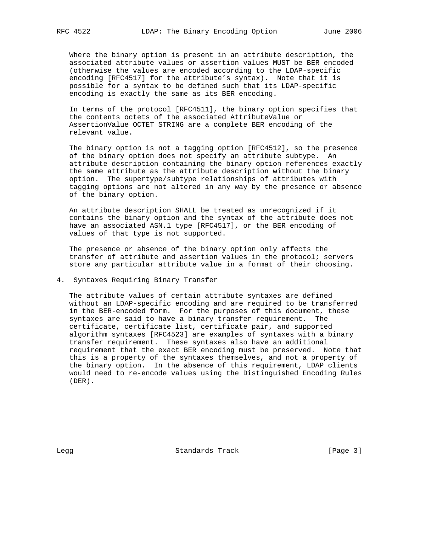Where the binary option is present in an attribute description, the associated attribute values or assertion values MUST be BER encoded (otherwise the values are encoded according to the LDAP-specific encoding [RFC4517] for the attribute's syntax). Note that it is possible for a syntax to be defined such that its LDAP-specific encoding is exactly the same as its BER encoding.

 In terms of the protocol [RFC4511], the binary option specifies that the contents octets of the associated AttributeValue or AssertionValue OCTET STRING are a complete BER encoding of the relevant value.

 The binary option is not a tagging option [RFC4512], so the presence of the binary option does not specify an attribute subtype. An attribute description containing the binary option references exactly the same attribute as the attribute description without the binary option. The supertype/subtype relationships of attributes with tagging options are not altered in any way by the presence or absence of the binary option.

 An attribute description SHALL be treated as unrecognized if it contains the binary option and the syntax of the attribute does not have an associated ASN.1 type [RFC4517], or the BER encoding of values of that type is not supported.

 The presence or absence of the binary option only affects the transfer of attribute and assertion values in the protocol; servers store any particular attribute value in a format of their choosing.

#### 4. Syntaxes Requiring Binary Transfer

 The attribute values of certain attribute syntaxes are defined without an LDAP-specific encoding and are required to be transferred in the BER-encoded form. For the purposes of this document, these syntaxes are said to have a binary transfer requirement. The certificate, certificate list, certificate pair, and supported algorithm syntaxes [RFC4523] are examples of syntaxes with a binary transfer requirement. These syntaxes also have an additional requirement that the exact BER encoding must be preserved. Note that this is a property of the syntaxes themselves, and not a property of the binary option. In the absence of this requirement, LDAP clients would need to re-encode values using the Distinguished Encoding Rules (DER).

Legg Standards Track [Page 3]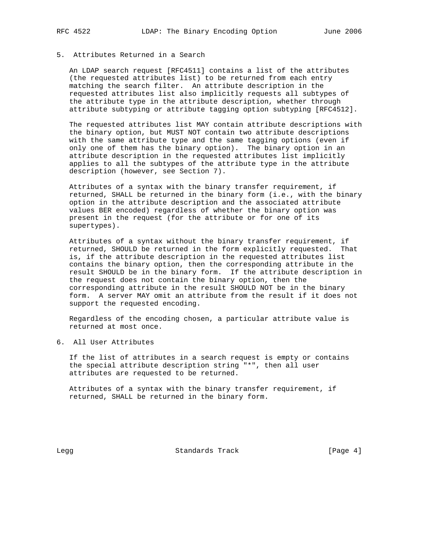# 5. Attributes Returned in a Search

 An LDAP search request [RFC4511] contains a list of the attributes (the requested attributes list) to be returned from each entry matching the search filter. An attribute description in the requested attributes list also implicitly requests all subtypes of the attribute type in the attribute description, whether through attribute subtyping or attribute tagging option subtyping [RFC4512].

 The requested attributes list MAY contain attribute descriptions with the binary option, but MUST NOT contain two attribute descriptions with the same attribute type and the same tagging options (even if only one of them has the binary option). The binary option in an attribute description in the requested attributes list implicitly applies to all the subtypes of the attribute type in the attribute description (however, see Section 7).

 Attributes of a syntax with the binary transfer requirement, if returned, SHALL be returned in the binary form (i.e., with the binary option in the attribute description and the associated attribute values BER encoded) regardless of whether the binary option was present in the request (for the attribute or for one of its supertypes).

 Attributes of a syntax without the binary transfer requirement, if returned, SHOULD be returned in the form explicitly requested. That is, if the attribute description in the requested attributes list contains the binary option, then the corresponding attribute in the result SHOULD be in the binary form. If the attribute description in the request does not contain the binary option, then the corresponding attribute in the result SHOULD NOT be in the binary form. A server MAY omit an attribute from the result if it does not support the requested encoding.

 Regardless of the encoding chosen, a particular attribute value is returned at most once.

6. All User Attributes

 If the list of attributes in a search request is empty or contains the special attribute description string "\*", then all user attributes are requested to be returned.

 Attributes of a syntax with the binary transfer requirement, if returned, SHALL be returned in the binary form.

Legg Standards Track [Page 4]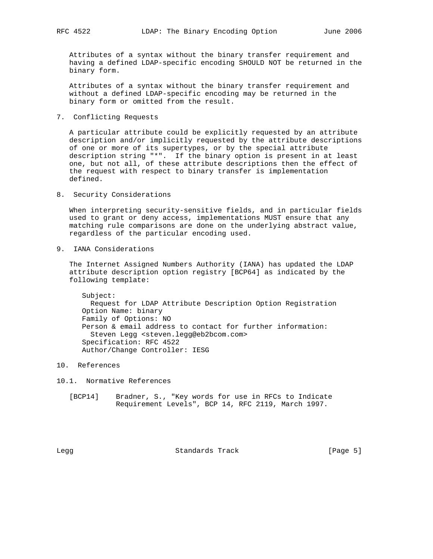Attributes of a syntax without the binary transfer requirement and having a defined LDAP-specific encoding SHOULD NOT be returned in the binary form.

 Attributes of a syntax without the binary transfer requirement and without a defined LDAP-specific encoding may be returned in the binary form or omitted from the result.

7. Conflicting Requests

 A particular attribute could be explicitly requested by an attribute description and/or implicitly requested by the attribute descriptions of one or more of its supertypes, or by the special attribute description string "\*". If the binary option is present in at least one, but not all, of these attribute descriptions then the effect of the request with respect to binary transfer is implementation defined.

8. Security Considerations

 When interpreting security-sensitive fields, and in particular fields used to grant or deny access, implementations MUST ensure that any matching rule comparisons are done on the underlying abstract value, regardless of the particular encoding used.

9. IANA Considerations

 The Internet Assigned Numbers Authority (IANA) has updated the LDAP attribute description option registry [BCP64] as indicated by the following template:

 Subject: Request for LDAP Attribute Description Option Registration Option Name: binary Family of Options: NO Person & email address to contact for further information: Steven Legg <steven.legg@eb2bcom.com> Specification: RFC 4522 Author/Change Controller: IESG

- 10. References
- 10.1. Normative References
	- [BCP14] Bradner, S., "Key words for use in RFCs to Indicate Requirement Levels", BCP 14, RFC 2119, March 1997.

Legg Standards Track (Page 5)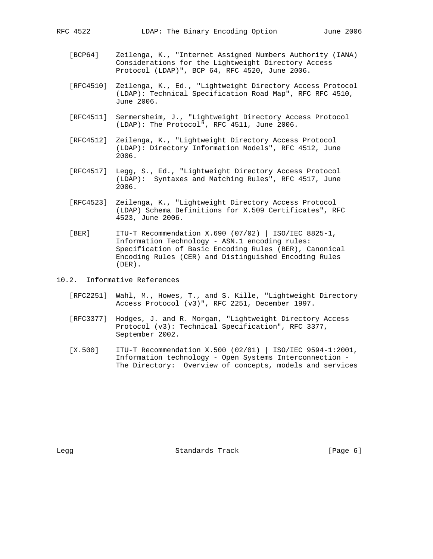- [BCP64] Zeilenga, K., "Internet Assigned Numbers Authority (IANA) Considerations for the Lightweight Directory Access Protocol (LDAP)", BCP 64, RFC 4520, June 2006.
- [RFC4510] Zeilenga, K., Ed., "Lightweight Directory Access Protocol (LDAP): Technical Specification Road Map", RFC RFC 4510, June 2006.
- [RFC4511] Sermersheim, J., "Lightweight Directory Access Protocol (LDAP): The Protocol", RFC 4511, June 2006.
- [RFC4512] Zeilenga, K., "Lightweight Directory Access Protocol (LDAP): Directory Information Models", RFC 4512, June 2006.
- [RFC4517] Legg, S., Ed., "Lightweight Directory Access Protocol (LDAP): Syntaxes and Matching Rules", RFC 4517, June 2006.
- [RFC4523] Zeilenga, K., "Lightweight Directory Access Protocol (LDAP) Schema Definitions for X.509 Certificates", RFC 4523, June 2006.
- [BER] ITU-T Recommendation X.690 (07/02) | ISO/IEC 8825-1, Information Technology - ASN.1 encoding rules: Specification of Basic Encoding Rules (BER), Canonical Encoding Rules (CER) and Distinguished Encoding Rules (DER).
- 10.2. Informative References
	- [RFC2251] Wahl, M., Howes, T., and S. Kille, "Lightweight Directory Access Protocol (v3)", RFC 2251, December 1997.
	- [RFC3377] Hodges, J. and R. Morgan, "Lightweight Directory Access Protocol (v3): Technical Specification", RFC 3377, September 2002.
	- [X.500] ITU-T Recommendation X.500 (02/01) | ISO/IEC 9594-1:2001, Information technology - Open Systems Interconnection - The Directory: Overview of concepts, models and services

Legg Standards Track [Page 6]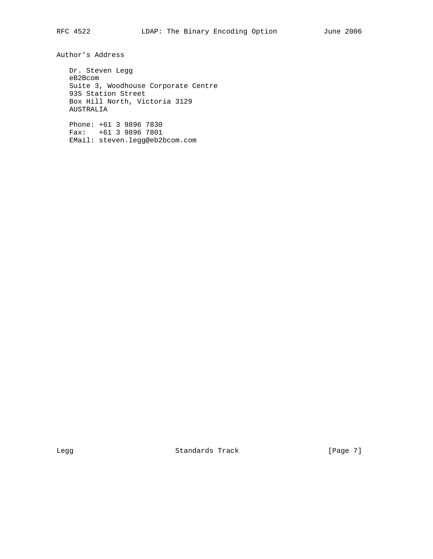Author's Address

 Dr. Steven Legg eB2Bcom Suite 3, Woodhouse Corporate Centre 935 Station Street Box Hill North, Victoria 3129 AUSTRALIA

 Phone: +61 3 9896 7830 Fax: +61 3 9896 7801 EMail: steven.legg@eb2bcom.com

Legg **Standards Track** [Page 7]